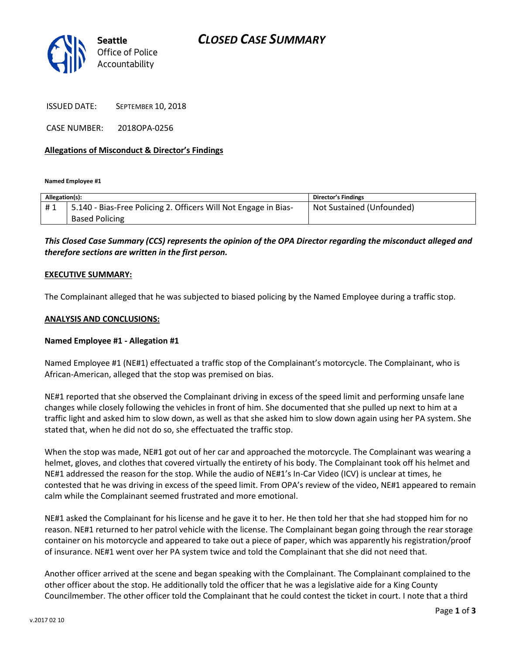

ISSUED DATE: SEPTEMBER 10, 2018

CASE NUMBER: 2018OPA-0256

#### **Allegations of Misconduct & Director's Findings**

**Named Employee #1**

| Allegation(s): |                                                                   | <b>Director's Findings</b> |
|----------------|-------------------------------------------------------------------|----------------------------|
| #1             | 1 5.140 - Bias-Free Policing 2. Officers Will Not Engage in Bias- | Not Sustained (Unfounded)  |
|                | <b>Based Policing</b>                                             |                            |

### *This Closed Case Summary (CCS) represents the opinion of the OPA Director regarding the misconduct alleged and therefore sections are written in the first person.*

#### **EXECUTIVE SUMMARY:**

The Complainant alleged that he was subjected to biased policing by the Named Employee during a traffic stop.

#### **ANALYSIS AND CONCLUSIONS:**

#### **Named Employee #1 - Allegation #1**

Named Employee #1 (NE#1) effectuated a traffic stop of the Complainant's motorcycle. The Complainant, who is African-American, alleged that the stop was premised on bias.

NE#1 reported that she observed the Complainant driving in excess of the speed limit and performing unsafe lane changes while closely following the vehicles in front of him. She documented that she pulled up next to him at a traffic light and asked him to slow down, as well as that she asked him to slow down again using her PA system. She stated that, when he did not do so, she effectuated the traffic stop.

When the stop was made, NE#1 got out of her car and approached the motorcycle. The Complainant was wearing a helmet, gloves, and clothes that covered virtually the entirety of his body. The Complainant took off his helmet and NE#1 addressed the reason for the stop. While the audio of NE#1's In-Car Video (ICV) is unclear at times, he contested that he was driving in excess of the speed limit. From OPA's review of the video, NE#1 appeared to remain calm while the Complainant seemed frustrated and more emotional.

NE#1 asked the Complainant for his license and he gave it to her. He then told her that she had stopped him for no reason. NE#1 returned to her patrol vehicle with the license. The Complainant began going through the rear storage container on his motorcycle and appeared to take out a piece of paper, which was apparently his registration/proof of insurance. NE#1 went over her PA system twice and told the Complainant that she did not need that.

Another officer arrived at the scene and began speaking with the Complainant. The Complainant complained to the other officer about the stop. He additionally told the officer that he was a legislative aide for a King County Councilmember. The other officer told the Complainant that he could contest the ticket in court. I note that a third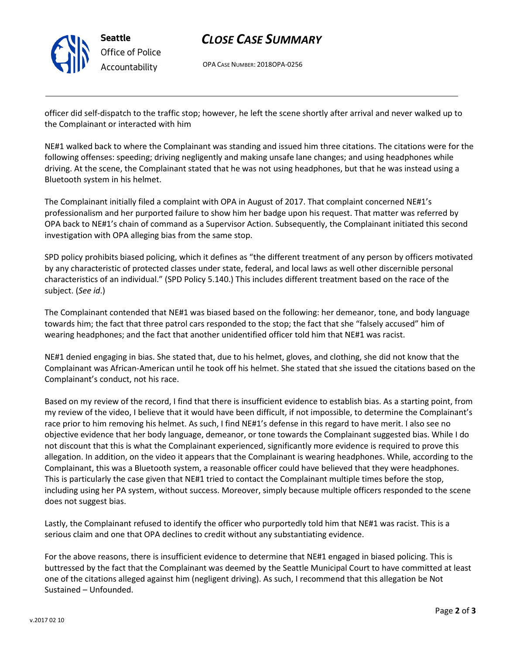

## *CLOSE CASE SUMMARY*

OPA CASE NUMBER: 2018OPA-0256

officer did self-dispatch to the traffic stop; however, he left the scene shortly after arrival and never walked up to the Complainant or interacted with him

NE#1 walked back to where the Complainant was standing and issued him three citations. The citations were for the following offenses: speeding; driving negligently and making unsafe lane changes; and using headphones while driving. At the scene, the Complainant stated that he was not using headphones, but that he was instead using a Bluetooth system in his helmet.

The Complainant initially filed a complaint with OPA in August of 2017. That complaint concerned NE#1's professionalism and her purported failure to show him her badge upon his request. That matter was referred by OPA back to NE#1's chain of command as a Supervisor Action. Subsequently, the Complainant initiated this second investigation with OPA alleging bias from the same stop.

SPD policy prohibits biased policing, which it defines as "the different treatment of any person by officers motivated by any characteristic of protected classes under state, federal, and local laws as well other discernible personal characteristics of an individual." (SPD Policy 5.140.) This includes different treatment based on the race of the subject. (*See id*.)

The Complainant contended that NE#1 was biased based on the following: her demeanor, tone, and body language towards him; the fact that three patrol cars responded to the stop; the fact that she "falsely accused" him of wearing headphones; and the fact that another unidentified officer told him that NE#1 was racist.

NE#1 denied engaging in bias. She stated that, due to his helmet, gloves, and clothing, she did not know that the Complainant was African-American until he took off his helmet. She stated that she issued the citations based on the Complainant's conduct, not his race.

Based on my review of the record, I find that there is insufficient evidence to establish bias. As a starting point, from my review of the video, I believe that it would have been difficult, if not impossible, to determine the Complainant's race prior to him removing his helmet. As such, I find NE#1's defense in this regard to have merit. I also see no objective evidence that her body language, demeanor, or tone towards the Complainant suggested bias. While I do not discount that this is what the Complainant experienced, significantly more evidence is required to prove this allegation. In addition, on the video it appears that the Complainant is wearing headphones. While, according to the Complainant, this was a Bluetooth system, a reasonable officer could have believed that they were headphones. This is particularly the case given that NE#1 tried to contact the Complainant multiple times before the stop, including using her PA system, without success. Moreover, simply because multiple officers responded to the scene does not suggest bias.

Lastly, the Complainant refused to identify the officer who purportedly told him that NE#1 was racist. This is a serious claim and one that OPA declines to credit without any substantiating evidence.

For the above reasons, there is insufficient evidence to determine that NE#1 engaged in biased policing. This is buttressed by the fact that the Complainant was deemed by the Seattle Municipal Court to have committed at least one of the citations alleged against him (negligent driving). As such, I recommend that this allegation be Not Sustained – Unfounded.